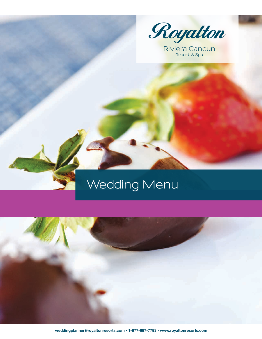

Riviera Cancun

# **Wedding Menu**

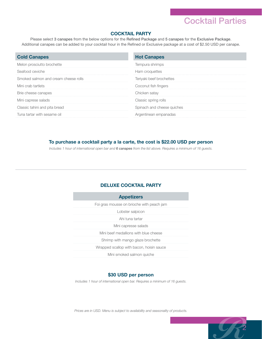### Cocktail Parties

2

#### **COCKTAIL PARTY**

Please select 3 canapes from the below options for the Refined Package and 5 canapes for the Exclusive Package. Additional canapes can be added to your cocktail hour in the Refined or Exclusive package at a cost of \$2.50 USD per canape.

| <b>Cold Canapes</b>                  | <b>Hot Canapes</b>         |
|--------------------------------------|----------------------------|
| Melon prosciutto brochette           | Tempura shrimps            |
| Seafood ceviche                      | Ham croquettes             |
| Smoked salmon and cream cheese rolls | Teriyaki beef brochettes   |
| Mini crab tartlets                   | Coconut fish fingers       |
| Brie cheese canapes                  | Chicken satay              |
| Mini caprese salads                  | Classic spring rolls       |
| Classic tahini and pita bread        | Spinach and cheese quiches |
| Tuna tartar with sesame oil          | Argentinean empanadas      |

#### **To purchase a cocktail party a la carte, the cost is \$22.00 USD per person**

*Includes 1 hour of international open bar and 6 canapes from the list above. Requires a minimum of 16 guests.*

#### **DELUXE COCKTAIL PARTY**

#### **\$30 USD per person**

*Includes 1 hour of international open bar. Requires a minimum of 16 guests.*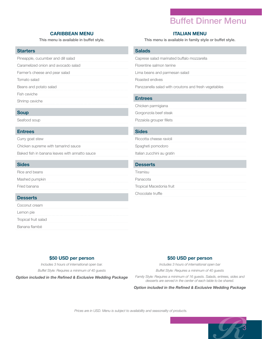### Buffet Dinner Menu

#### **CARIBBEAN MENU ITALIAN MENU**

| Pineapple, cucumber and dill salad |  |  |
|------------------------------------|--|--|
|                                    |  |  |

Caramelized onion and avocado salad

Farmer's cheese and pear salad

Tomato salad

Beans and potato salad

Fish ceviche

Shrimp ceviche

#### **Soup**

Seafood soup

#### **Entrees**

Curry goat stew

Chicken supreme with tamarind sauce

Baked fish in banana leaves with annatto sauce

#### **Sides**

Rice and beans

Mashed pumpkin

Fried banana

#### **Desserts**

Coconut cream

Lemon pie

Tropical fruit salad

Banana flambé

This menu is available in buffet style. This menu is available in family style or buffet style.

#### **Salads**

| Caprese salad marinated buffalo mozzarella |  |  |  |
|--------------------------------------------|--|--|--|
|--------------------------------------------|--|--|--|

Florentine salmon terrine

Lima beans and parmesan salad

Roasted endives

Panzzanella salad with croutons and fresh vegetables

#### **Entrees**

Chicken parmigiana

Gorgonzola beef steak

Pizzaiola grouper fillets

#### **Sides**

Riccotta cheese ravioli

Spagheti pomodoro

Italian zucchini au gratin

#### **Desserts**

Tiramisu

Panacota

Tropical Macedonia fruit

Chocolate truffle

#### **\$50 USD per person**

*Includes 3 hours of international open bar. Buffet Style: Requires a minimum of 40 guests*

*Option included in the Refined & Exclusive Wedding Package*

#### **\$50 USD per person**

*Includes 3 hours of international open bar* 

*Buffet Style: Requires a minimum of 40 guests*

*Family Style: Requires a minimum of 16 guests. Salads, entrees, sides and desserts are served in the center of each table to be shared.*

*Option included in the Refined & Exclusive Wedding Package*

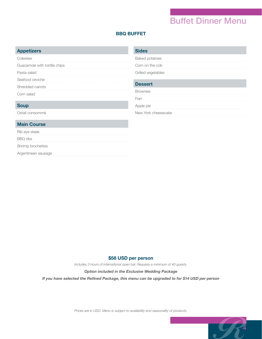### Buffet Dinner Menu

4

 $\bullet$ 

#### **BBQ BUFFET**

#### **Appetizers**

Coleslaw

Guacamole with tortilla chips

Pasta salad

Seafood ceviche

Shredded carrots

Corn salad

#### **Soup**

Oxtail consommé

#### **Main Course**

Rib eye steak

BBQ ribs

Shrimp brochettes

Argentinean sausage

#### **Sides**

Baked potatoes

Corn on the cob

Grilled vegetables

### **Dessert** Brownies Flan Apple pie New York cheesecake

#### **\$58 USD per person**

*Includes 3 hours of international open bar. Requires a minimum of 40 guests.*

#### *Option included in the Exclusive Wedding Package*

*If you have selected the Refined Package, this menu can be upgraded to for \$14 USD per person*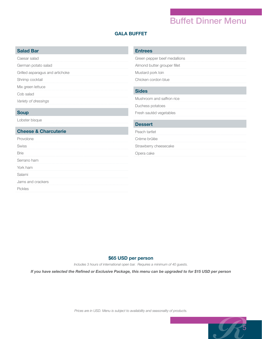### Buffet Dinner Menu

5

 $\bullet$ 

#### **GALA BUFFET**

#### **Salad Bar**

Caesar salad

German potato salad

Grilled asparagus and artichoke

Shrimp cocktail

Mix green lettuce

Cob salad

*Variety of dressings*

#### **Soup**

Lobster bisque

#### **Cheese & Charcuterie**

#### Provolone

Swiss Brie Serrano ham

York ham

Salami

Jams and crackers

Pickles

#### **Entrees**

Green pepper beef medallions

Almond butter grouper fillet Mustard pork loin

Chicken cordon blue

#### **Sides**

Mushroom and saffron rice

Duchess potatoes

Fresh sautéd vegetables

#### **Dessert**

Peach tartlet

Crème brûlée

Strawberry cheesecake

Opera cake

#### **\$65 USD per person**

*Includes 3 hours of international open bar. Requires a minimum of 40 guests.*

*If you have selected the Refined or Exclusive Package, this menu can be upgraded to for \$15 USD per person*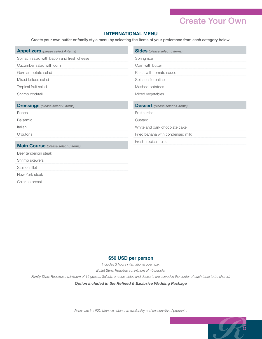### Create Your Own

6

 $\bullet$ 

#### **INTERNATIONAL MENU**

Create your own buffet or family style menu by selecting the items of your preference from each category below:

| <b>Appetizers</b> (please select 4 items)  | <b>Sides</b> (please select 3 items)   |
|--------------------------------------------|----------------------------------------|
| Spinach salad with bacon and fresh cheese  | Spring rice                            |
| Cucumber salad with corn                   | Corn with butter                       |
| German potato salad                        | Pasta with tomato sauce                |
| Mixed lettuce salad                        | Spinach florentine                     |
| Tropical fruit salad                       | Mashed potatoes                        |
| Shrimp cocktail                            | Mixed vegetables                       |
|                                            |                                        |
| <b>Dressings</b> (please select 3 items)   | <b>Dessert</b> (please select 4 items) |
| Ranch                                      | Fruit tartlet                          |
| Balsamic                                   | Custard                                |
| Italian                                    | White and dark chocolate cake          |
| Croutons                                   | Fried banana with condensed milk       |
|                                            | Fresh tropical fruits                  |
| <b>Main Course</b> (please select 3 items) |                                        |
| Beef tenderloin steak                      |                                        |
| Shrimp skewers                             |                                        |
| Salmon fillet                              |                                        |
| New York steak                             |                                        |
| Chicken breast                             |                                        |

#### **\$50 USD per person**

*Includes 3 hours international open bar.* 

*Buffet Style: Requires a minimum of 40 people.* 

*Family Style: Requires a minimum of 16 guests. Salads, entrees, sides and desserts are served in the center of each table to be shared.*

*Option included in the Refined & Exclusive Wedding Package*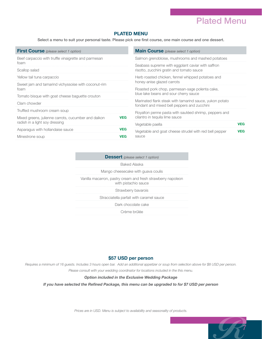### Plated Menu

7

#### **PLATED MENU**

Select a menu to suit your personal taste. Please pick one first course, one main course and one dessert.

| <b>First Course</b> (please select 1 option)                                                                   |            | <b>Main Course</b> (please select 1 option)                                                    |            |
|----------------------------------------------------------------------------------------------------------------|------------|------------------------------------------------------------------------------------------------|------------|
| Beef carpaccio with truffle vinaigrette and parmesan<br>foam<br>Scallop salad                                  |            | Salmon grenobloise, mushrooms and mashed potatoes                                              |            |
|                                                                                                                |            | Seabass supreme with eggplant caviar with saffron<br>risotto, zucchini gratin and tomato sauce |            |
|                                                                                                                |            |                                                                                                |            |
| Sweet jam and tamarind vichyssoise with coconut-rim<br>foam<br>Tomato bisque with goat cheese baquette crouton |            | honey-anise glazed carrots                                                                     |            |
|                                                                                                                |            | Roasted pork chop, parmesan-sage polenta cake,                                                 |            |
|                                                                                                                |            | blue lake beans and sour cherry sauce                                                          |            |
|                                                                                                                |            | Marinated flank steak with tamarind sauce, yukon potato                                        |            |
| Clam chowder                                                                                                   |            | fondant and mixed bell peppers and zucchini                                                    |            |
| Truffled mushroom cream soup                                                                                   |            | Royalton penne pasta with sautéed shrimp, peppers and                                          |            |
| Mixed greens, julienne carrots, cucumber and daikon                                                            | <b>VEG</b> | cilantro in tequila lime sauce                                                                 |            |
| radish in a light soy dressing                                                                                 |            | Vegetable paella                                                                               | <b>VEG</b> |
| Asparagus with hollandaise sauce                                                                               | <b>VEG</b> |                                                                                                | <b>VEG</b> |
|                                                                                                                |            | Vegetable and goat cheese strudel with red bell pepper                                         |            |
| Minestrone soup                                                                                                | <b>VEG</b> | sauce                                                                                          |            |

| <b>Dessert</b> (please select 1 option)                                              |  |
|--------------------------------------------------------------------------------------|--|
| <b>Baked Alaska</b>                                                                  |  |
| Mango cheesecake with guava coulis                                                   |  |
| Vanilla macarron, pastry cream and fresh strawberry napoleon<br>with pistachio sauce |  |
| Strawberry bavarois                                                                  |  |
| Stracciatella parfait with caramel sauce                                             |  |
| Dark chocolate cake                                                                  |  |
| Crème brûlée                                                                         |  |

#### **\$57 USD per person**

*Requires a minimum of 16 guests. Includes 3 hours open bar. Add an additional appetizer or soup from selection above for \$8 USD per person. Please consult with your wedding coordinator for locations included in the this menu.*

#### *Option included in the Exclusive Wedding Package*

*If you have selected the Refined Package, this menu can be upgraded to for \$7 USD per person*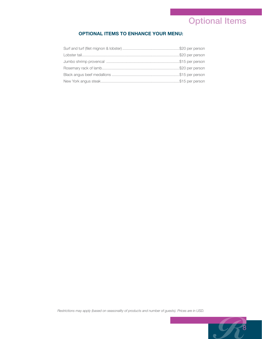## Optional Items

#### **OPTIONAL ITEMS TO ENHANCE YOUR MENU:**

*Restrictions may apply (based on seasonality of products and number of guests). Prices are in USD.* 

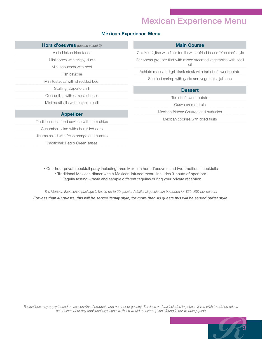### Mexican Experience Menu

9

#### **Mexican Experience Menu**

| Hors d'oeuvres (please select 3)             | <b>Main Course</b>                                                     |
|----------------------------------------------|------------------------------------------------------------------------|
| Mini chicken fried tacos                     | Chicken fajitas with flour tortilla with refried beans "Yucatan" style |
| Mini sopes with crispy duck                  | Caribbean grouper fillet with mixed steamed vegetables with basil      |
| Mini panuchos with beef                      | oil                                                                    |
| Fish ceviche                                 | Achiote marinated grill flank steak with tartlet of sweet potato       |
| Mini tostadas with shredded beef             | Sautéed shrimp with garlic and vegetables julienne                     |
| Stuffing jalapeño chilli                     | <b>Dessert</b>                                                         |
| Quesadillas with oaxaca cheese               | Tartlet of sweet potato                                                |
| Mini meatballs with chipotle chilli          | Guava crème brule                                                      |
| <b>Appetizer</b>                             | Mexican fritters: Churros and buñuelos                                 |
| Traditional sea food ceviche with corn chips | Mexican cookies with dried fruits                                      |
| Cucumber salad with chargrilled corn         |                                                                        |
| Jicama salad with fresh orange and cilantro  |                                                                        |
| Traditional: Red & Green salsas              |                                                                        |
|                                              |                                                                        |

• One-hour private cocktail party including three Mexican hors d'oeuvres and two traditional cocktails • Traditional Mexican dinner with a Mexican-infused menu. Includes 3-hours of open bar.

• Tequila tasting – taste and sample different tequilas during your private reception

*The Mexican Experience package is based up to 20 guests. Additional guests can be added for \$50 USD per person. For less than 40 guests, this will be served family style, for more than 40 guests this will be served buffet style.*

*Restrictions may apply (based on seasonality of products and number of guests). Services and tax included in prices. If you wish to add on décor, entertainment or any additional experiences, these would be extra options found in our wedding guide*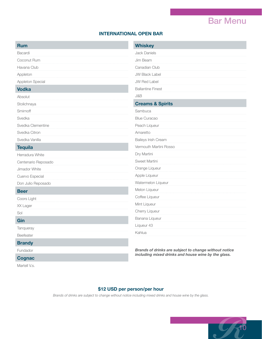### Bar Menu

#### **INTERNATIONAL OPEN BAR**

| <b>Rum</b>          | <b>Whiskey</b>                                        |
|---------------------|-------------------------------------------------------|
| Bacardi             | <b>Jack Daniels</b>                                   |
| Coconut Rum         | Jim Beam                                              |
| Havana Club         | Canadian Club                                         |
| Appleton            | <b>JW Black Label</b>                                 |
| Appleton Special    | <b>JW Red Label</b>                                   |
| <b>Vodka</b>        | <b>Ballantine Finest</b>                              |
| Absolut             | J&B                                                   |
| Stolichnaya         | <b>Creams &amp; Spirits</b>                           |
| Smirnoff            | Sambuca                                               |
| Svedka              | <b>Blue Curacao</b>                                   |
| Svedka Clementine   | Peach Liqueur                                         |
| Svedka Citron       | Amaretto                                              |
| Svedka Vanilla      | Baileys Irish Cream                                   |
| <b>Tequila</b>      | Vermouth Martini Rosso                                |
| Herradura White     | Dry Martini                                           |
| Centenario Reposado | Sweet Martini                                         |
| Jimador White       | Orange Liqueur                                        |
| Cuervo Especial     | Apple Liqueur                                         |
| Don Julio Reposado  | Watermelon Liqueur                                    |
| <b>Beer</b>         | Melon Liqueur                                         |
| Coors Light         | Coffee Liqueur                                        |
| XX Lager            | Mint Liqueur                                          |
| Sol                 | Cherry Liqueur                                        |
| Gin                 | Banana Liqueur                                        |
| Tanqueray           | Liqueur 43                                            |
| Beefeater           | Kahlua                                                |
| <b>Brandy</b>       |                                                       |
| Fundador            | Brands of drinks are subject to change without notice |
|                     | including mixed drinks and house wine by the glass.   |

#### **Cognac**

Martell V.s.

*including mixed drinks and house wine by the glass.*

#### **\$12 USD per person/per hour**

*Brands of drinks are subject to change without notice including mixed drinks and house wine by the glass.*